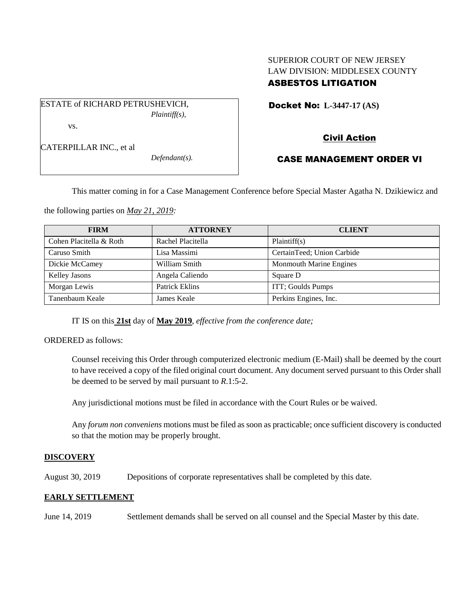## SUPERIOR COURT OF NEW JERSEY LAW DIVISION: MIDDLESEX COUNTY ASBESTOS LITIGATION

ESTATE of RICHARD PETRUSHEVICH, *Plaintiff(s),* vs.

Docket No: **L-3447-17 (AS)** 

CATERPILLAR INC., et al

*Defendant(s).*

# CASE MANAGEMENT ORDER VI

Civil Action

This matter coming in for a Case Management Conference before Special Master Agatha N. Dzikiewicz and

the following parties on *May 21, 2019:*

| <b>FIRM</b>             | <b>ATTORNEY</b>       | <b>CLIENT</b>                  |
|-------------------------|-----------------------|--------------------------------|
| Cohen Placitella & Roth | Rachel Placitella     | Plaintiff(s)                   |
| Caruso Smith            | Lisa Massimi          | CertainTeed; Union Carbide     |
| Dickie McCamey          | William Smith         | <b>Monmouth Marine Engines</b> |
| <b>Kelley Jasons</b>    | Angela Caliendo       | Square D                       |
| Morgan Lewis            | <b>Patrick Eklins</b> | ITT; Goulds Pumps              |
| Tanenbaum Keale         | James Keale           | Perkins Engines, Inc.          |

IT IS on this **21st** day of **May 2019**, *effective from the conference date;*

ORDERED as follows:

Counsel receiving this Order through computerized electronic medium (E-Mail) shall be deemed by the court to have received a copy of the filed original court document. Any document served pursuant to this Order shall be deemed to be served by mail pursuant to *R*.1:5-2.

Any jurisdictional motions must be filed in accordance with the Court Rules or be waived.

Any *forum non conveniens* motions must be filed as soon as practicable; once sufficient discovery is conducted so that the motion may be properly brought.

## **DISCOVERY**

August 30, 2019 Depositions of corporate representatives shall be completed by this date.

## **EARLY SETTLEMENT**

June 14, 2019 Settlement demands shall be served on all counsel and the Special Master by this date.